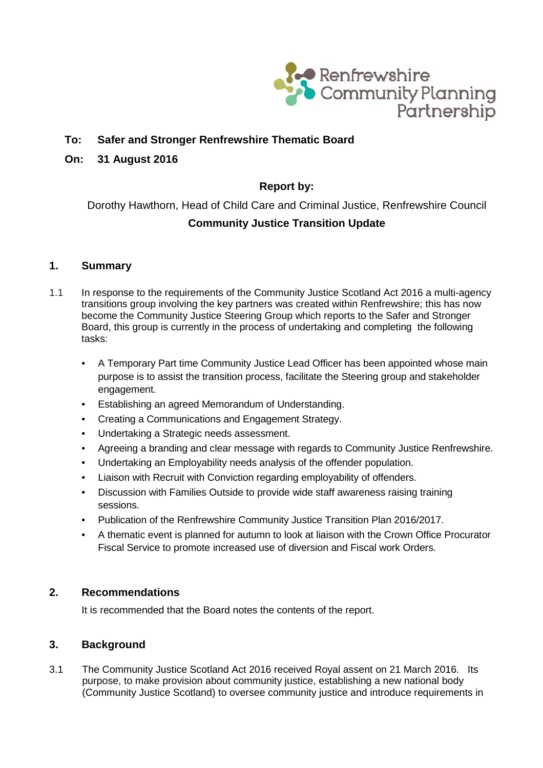

# **To: Safer and Stronger Renfrewshire Thematic Board**

### **On: 31 August 2016**

# **Report by:**

Dorothy Hawthorn, Head of Child Care and Criminal Justice, Renfrewshire Council **Community Justice Transition Update**

#### **1. Summary**

- 1.1 In response to the requirements of the Community Justice Scotland Act 2016 a multi-agency transitions group involving the key partners was created within Renfrewshire; this has now become the Community Justice Steering Group which reports to the Safer and Stronger Board, this group is currently in the process of undertaking and completing the following tasks:
	- A Temporary Part time Community Justice Lead Officer has been appointed whose main purpose is to assist the transition process, facilitate the Steering group and stakeholder engagement.
	- Establishing an agreed Memorandum of Understanding.
	- Creating a Communications and Engagement Strategy.
	- Undertaking a Strategic needs assessment.
	- Agreeing a branding and clear message with regards to Community Justice Renfrewshire.
	- Undertaking an Employability needs analysis of the offender population.
	- Liaison with Recruit with Conviction regarding employability of offenders.
	- Discussion with Families Outside to provide wide staff awareness raising training sessions.
	- Publication of the Renfrewshire Community Justice Transition Plan 2016/2017.
	- A thematic event is planned for autumn to look at liaison with the Crown Office Procurator Fiscal Service to promote increased use of diversion and Fiscal work Orders.

#### **2. Recommendations**

It is recommended that the Board notes the contents of the report.

### **3. Background**

3.1 The Community Justice Scotland Act 2016 received Royal assent on 21 March 2016. Its purpose, to make provision about community justice, establishing a new national body (Community Justice Scotland) to oversee community justice and introduce requirements in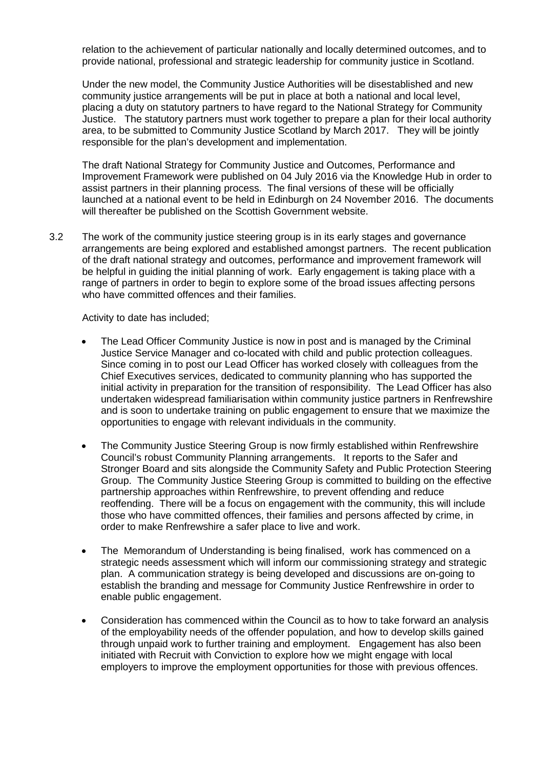relation to the achievement of particular nationally and locally determined outcomes, and to provide national, professional and strategic leadership for community justice in Scotland.

Under the new model, the Community Justice Authorities will be disestablished and new community justice arrangements will be put in place at both a national and local level, placing a duty on statutory partners to have regard to the National Strategy for Community Justice. The statutory partners must work together to prepare a plan for their local authority area, to be submitted to Community Justice Scotland by March 2017. They will be jointly responsible for the plan's development and implementation.

The draft National Strategy for Community Justice and Outcomes, Performance and Improvement Framework were published on 04 July 2016 via the Knowledge Hub in order to assist partners in their planning process. The final versions of these will be officially launched at a national event to be held in Edinburgh on 24 November 2016. The documents will thereafter be published on the Scottish Government website.

3.2 The work of the community justice steering group is in its early stages and governance arrangements are being explored and established amongst partners. The recent publication of the draft national strategy and outcomes, performance and improvement framework will be helpful in guiding the initial planning of work. Early engagement is taking place with a range of partners in order to begin to explore some of the broad issues affecting persons who have committed offences and their families.

Activity to date has included;

- The Lead Officer Community Justice is now in post and is managed by the Criminal Justice Service Manager and co-located with child and public protection colleagues. Since coming in to post our Lead Officer has worked closely with colleagues from the Chief Executives services, dedicated to community planning who has supported the initial activity in preparation for the transition of responsibility. The Lead Officer has also undertaken widespread familiarisation within community justice partners in Renfrewshire and is soon to undertake training on public engagement to ensure that we maximize the opportunities to engage with relevant individuals in the community.
- The Community Justice Steering Group is now firmly established within Renfrewshire Council's robust Community Planning arrangements. It reports to the Safer and Stronger Board and sits alongside the Community Safety and Public Protection Steering Group. The Community Justice Steering Group is committed to building on the effective partnership approaches within Renfrewshire, to prevent offending and reduce reoffending. There will be a focus on engagement with the community, this will include those who have committed offences, their families and persons affected by crime, in order to make Renfrewshire a safer place to live and work.
- The Memorandum of Understanding is being finalised, work has commenced on a strategic needs assessment which will inform our commissioning strategy and strategic plan. A communication strategy is being developed and discussions are on-going to establish the branding and message for Community Justice Renfrewshire in order to enable public engagement.
- Consideration has commenced within the Council as to how to take forward an analysis of the employability needs of the offender population, and how to develop skills gained through unpaid work to further training and employment. Engagement has also been initiated with Recruit with Conviction to explore how we might engage with local employers to improve the employment opportunities for those with previous offences.